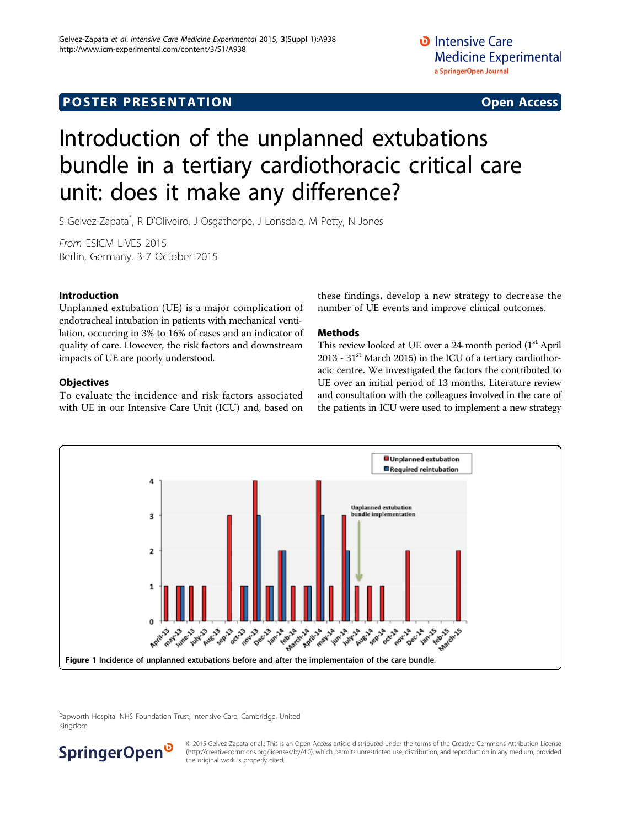## <span id="page-0-0"></span>**POSTER PRESENTATION CONSUMING ACCESS**

# Introduction of the unplanned extubations bundle in a tertiary cardiothoracic critical care unit: does it make any difference?

S Gelvez-Zapata<sup>\*</sup>, R D'Oliveiro, J Osgathorpe, J Lonsdale, M Petty, N Jones

From ESICM LIVES 2015 Berlin, Germany. 3-7 October 2015

#### Introduction

Unplanned extubation (UE) is a major complication of endotracheal intubation in patients with mechanical ventilation, occurring in 3% to 16% of cases and an indicator of quality of care. However, the risk factors and downstream impacts of UE are poorly understood.

#### **Objectives**

To evaluate the incidence and risk factors associated with UE in our Intensive Care Unit (ICU) and, based on

these findings, develop a new strategy to decrease the number of UE events and improve clinical outcomes.

#### Methods

This review looked at UE over a 24-month period (1<sup>st</sup> April 2013 -  $31<sup>st</sup>$  March 2015) in the ICU of a tertiary cardiothoracic centre. We investigated the factors the contributed to UE over an initial period of 13 months. Literature review and consultation with the colleagues involved in the care of the patients in ICU were used to implement a new strategy



Papworth Hospital NHS Foundation Trust, Intensive Care, Cambridge, United Kingdom



© 2015 Gelvez-Zapata et al.; This is an Open Access article distributed under the terms of the Creative Commons Attribution License [\(http://creativecommons.org/licenses/by/4.0](http://creativecommons.org/licenses/by/4.0)), which permits unrestricted use, distribution, and reproduction in any medium, provided the original work is properly cited.